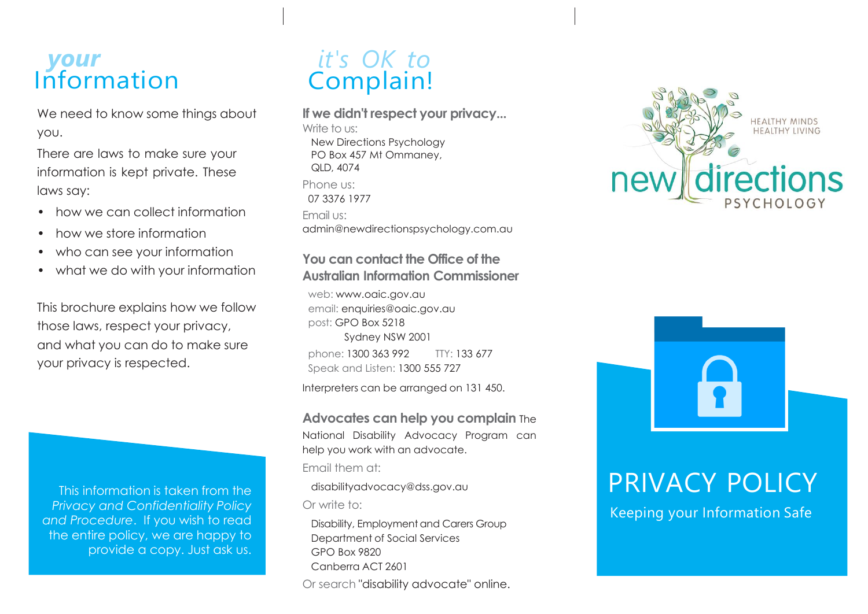### *your* Information

We need to know some things about you.

There are laws to make sure your information is kept private. These laws say:

- how we can collect information
- how we store information
- who can see your information
- what we do with your information

This brochure explains how we follow those laws, respect your privacy, and what you can do to make sure your privacy is respected.

This information is taken from the *Privacy and Confidentiality Policy and Procedure*. If you wish to read the entire policy, we are happy to provide a copy. Just ask us.

## *it's OK to* Complain!

**If we didn't respect your privacy...**

Write to us: New Directions Psychology PO Box 457 Mt Ommaney, QLD, 4074 Phone us: 07 3376 1977 Email us: admin@newdirectionspsychology.com.au

#### **You can contact the Office of the Australian Information Commissioner**

web: [www.oaic.gov.au](http://www.oaic.gov.au/) email: [enquiries@oaic.gov.au](mailto:enquiries@oaic.gov.au)  post: GPO Box 5218 Sydney NSW 2001 phone: 1300 363 992 TTY: 133 677 Speak and Listen: 1300 555 727

Interpreters can be arranged on 131 450.

**Advocates can help you complain** The National Disability Advocacy Program can help you work with an advocate. Email them at:

[disabilityadvocacy@dss.gov.au](mailto:disabilityadvocacy@dss.gov.au)

Or write to:

Disability, Employment and Carers Group Department of Social Services GPO Box 9820 Canberra ACT 2601 Or search "disability advocate" online.





# PRIVACY POLICY

Keeping your Information Safe